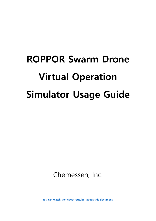# <span id="page-0-0"></span>**ROPPOR Swarm Drone Virtual Operation Simulator Usage Guide**

Chemessen, Inc.

**[You can watch the video\(Youtube\) about this document.](https://youtu.be/XnnqdTl3PJs)**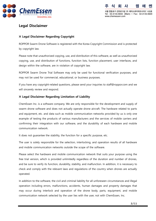



# **Legal Disclaimer**

## <span id="page-1-0"></span>**※ Legal Disclaimer Regarding Copyright**

ROPPOR Swarm Drone Software is registered with the Korea Copyright Commission and is protected by copyright law.

Please note that unauthorized copying, use, and distribution of this software, as well as unauthorized copying, use, and distribution of functions, function lists, function placement, user interfaces, and design within the software, are in violation of copyright law.

ROPPOR Swarm Drone Trial Software may only be used for functional verification purposes, and may not be used for commercial, educational, or business purposes.

If you have any copyright-related questions, please send your inquiries to staff@roppor.com and we will sincerely review and respond.

#### <span id="page-1-1"></span>**※ Legal Disclaimer Regarding Limitation of Liability**

ChemEssen Inc. is a software company. We are only responsible for the development and supply of swarm drone software and does not actually operate drone aircraft. The hardware related to parts and equipment, etc. and data such as mobile communication networks provided by us is only one example of testing the products of various manufacturers and the services of mobile carriers and confirming their integration with our software, and the durability of each hardware and mobile communication network.

It does not guarantee the stability, the function for a specific purpose, etc.

The user is solely responsible for the selection, interlocking, and operation results of all hardware and mobile communication networks outside the scope of the software.

Please select the hardware and mobile communication network that suits your purpose using the free trial version, which is provided unlimitedly regardless of the duration and number of drones, and be sure to verify its function, durability, stability, and malfunction. In addition, it is necessary to check and comply with the relevant laws and regulations of the country when drones are actually operated.

In addition to the software, the civil and criminal liability for all unforeseen circumstances and illegal operation including errors, malfunctions, accidents, human damages and property damages that may occur during interlock and operation of the drone body, parts, equipment, and mobile communication network selected by the user lies with the user, not with ChemEssen, Inc.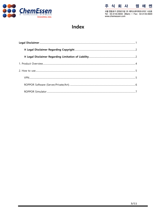



서울 영등포구 선유로13길 25 에이스하이테크시티2 1408호<br>Tel: 02.3143.5933 (Main) | Fax: 02.3143.5920 www.chemessen.com

# Index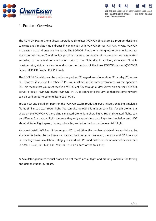

연동포구 선육료13각 25 에이스차이테크시티2 1408층 Tel: 02.3143.5933 (Main) | Fax: 02.3143.5920 www.chemessen.com

# <span id="page-3-0"></span>1. Product Overview

The ROPPOR Swarm Drone Virtual Operations Simulator (ROPPOR Simulator) is a program designed to create and simulate virtual drones in conjunction with ROPPOR Server, ROPPOR Private, ROPPOR Art, even if actual drones are not ready. The ROPPOR Simulator is designed to communicate data similar to real drones. Therefore, it is possible to check the number of drones that can be operated according to the actual communication status of the flight site. In addition, simulation flight is possible using virtual drones depending on the function of the three ROPPOR products(ROPPOR Server, ROPPOR Private, ROPPOR Art).

The ROPPOR Simulator can be used on any other PC, regardless of operation PC or relay PC, server PC. However, if you use the other  $3<sup>rd</sup>$  PC, you must set up the same environment as the operation PC. This means that you must receive a VPN Client Key through a VPN Server on a server (ROPPOR Server) or relay (ROPPOR Private/ROPPOR Art) PC to connect to the VPN so that the same network can be configured to communicate each other.

You can set and edit flight paths on the ROPPOR Swarm product (Server, Private), enabling simulated flights similar to actual route flight. You can also upload a formation path files for the drone light show on the ROPPOR Art, enabling simulated drone light show flight. But all simulated flights can be different from actual flights because they only support just path flight for simulation test, NOT about altitude, flight speed, battery, obstacles, and other factors on the real field flight.

You must install JAVA 8 or higher on your PC. In addition, the number of virtual drones that can be simulated is limited by performance, such as the internet environment, memory, and CPU on your PC. For large-scale simulation testing, you can divide PCs and distribute the number of drones each PCs (ex. 1~300, 301~600, 601~900, 901~1000 on each of the four PCs)

※ Simulator-generated virtual drones do not match actual flight and are only available for testing and demonstration purposes.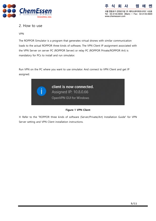

서울 영등포구 선유로13길 25 에이스하이테크시티2 1408호 Tel: 02.3143.5933 (Main) | Fax: 02.3143.5920 www.chemessen.com

# <span id="page-4-0"></span>2. How to use

#### <span id="page-4-1"></span>VPN

The ROPPOR Simulator is a program that generates virtual drones with similar communication loads to the actual ROPPOR three kinds of software, The VPN Client IP assignment associated with the VPN Server on server PC (ROPPOR Server) or relay PC (ROPPOR Private/ROPPOR Art) is mandatory for PCs to install and run simulator.

Run VPN on the PC where you want to use simulator. And connect to VPN Client and get IP assigned.



#### **Figure 1 VPN Client**

※ Refer to the "ROPPOR three kinds of software (Server/Private/Art) Installation Guide" for VPN Server setting and VPN Client installation instructions.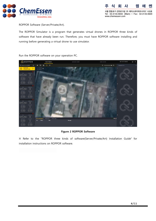

WI 서울 영등포구 선유로13길 25 에이스하이테크시티2 1408호 Tel: 02.3143.5933 (Main) | Fax: 02.3143.5920 www.chemessen.com

<span id="page-5-0"></span>ROPPOR Software (Server/Private/Art).

The ROPPOR Simulator is a program that generates virtual drones in ROPPOR three kinds of software that have already been run. Therefore, you must have ROPPOR software installing and running before generating a virtual drone to use simulator.



Run the ROPPOR software on your operation PC.

#### **Figure 2 ROPPOR Software**

※ Refer to the "ROPPOR three kinds of software(Server/Private/Art) Installation Guide" for installation instructions on ROPPOR software.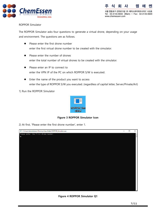

www.chemessen.com



#### <span id="page-6-0"></span>ROPPOR Simulator

The ROPPOR Simulator asks four questions to generate a virtual drone, depending on your usage and environment. The questions are as follows.

- ⚫ Please enter the first drone number enter the first virtual drone number to be created with the simulator.
- Please enter the number of drones enter the total number of virtual drones to be created with the simulator.
- ⚫ Please enter an IP to connect to enter the VPN IP of the PC on which ROPPOR S/W is executed.
- ⚫ Enter the name of the product you want to access enter the type of ROPPOR S/W you executed. (regardless of capital letter, Server/Private/Art)

1) Run the ROPPOR Simulator



**Figure 3 ROPPOR Simulator Icon**

2) At first, 'Please enter the first drone number', enter 1.



**Figure 4 ROPPOR Simulator Q1**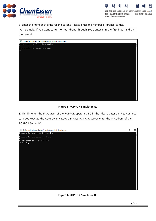

3) Enter the number of units for the second 'Please enter the number of drones' to use.

(For example, if you want to turn on 6th drone through 30th, enter 6 in the first input and 25 in the second.)



# **Figure 5 ROPPOR Simulator Q2**

3) Thirdly, enter the IP Address of the ROPPOR operating PC in the 'Please enter an IP to connect to' if you execute the ROPPOR Private/Art. In case ROPPOR Server, enter the IP Address of the ROPPOR Server PC.



## **Figure 6 ROPPOR Simulator Q3**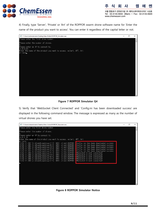

히

4) Finally, type 'Server', 'Private' or 'Art' of the ROPPOR swarm drone software name for 'Enter the name of the product you want to access'. You can enter it regardless of the capital letter or not.



#### **Figure 7 ROPPOR Simulator Q4**

5) Verify that 'WebSocket Client Connected' and 'Config.ini has been downloaded success' are displayed in the following command window. The message is expressed as many as the number of virtual drones you have set.

| C:\Users\Administrator\Desktop\New folder\ROPPOR Simulator.exe                                                                                                                                                                                                                                                                                                                                                                                                                                                                                                                                                                                                                                              | П |  |
|-------------------------------------------------------------------------------------------------------------------------------------------------------------------------------------------------------------------------------------------------------------------------------------------------------------------------------------------------------------------------------------------------------------------------------------------------------------------------------------------------------------------------------------------------------------------------------------------------------------------------------------------------------------------------------------------------------------|---|--|
| Please enter the first drone number.<br>Please enter the number of drones.<br>Please enter an IP to connect to.<br>10.8.0.30<br>Enter the name of the product you want to access, ex)art, ART, Art                                                                                                                                                                                                                                                                                                                                                                                                                                                                                                          |   |  |
| lprivate<br>Config.ini has been downloaded success.<br>[15:52:11.057 [nioEventLoopGroup-6-1] INFO client.ROPPOR ·<br>Config.ini has been downloaded success.<br>[nioEventLoopGroup-4-1] INFO<br>15:52:11.057<br>client.ROPPOR<br>Config.ini has been downloaded success.<br>client.ROPPOR ·<br>INFO.<br>Config.ini has been downloaded success.<br>client.ROPPOR -<br>Config.ini has been downloaded success.<br>[nioEventLoopGroup-5-1]<br>WebSocket Client connected!<br>15:52:11.088<br>INFO<br>client.ROPPOR<br>INFO<br>client.ROPPOR ·<br>WebSocket Client connected!<br>WebSocket Client connected!<br>WebSocket Client connected!<br>client.ROPPOR<br>client.ROPPOR –<br>WebSocket Client connected! |   |  |
|                                                                                                                                                                                                                                                                                                                                                                                                                                                                                                                                                                                                                                                                                                             |   |  |

**Figure 8 ROPPOR Simulator Notice**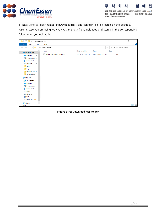

쎄 히 사 켄 പ 서울 영등포구 선유로13길 25 에이스하이테크시티2 1408호 Tel: 02.3143.5933 (Main) | Fax: 02.3143.5920 www.chemessen.com

6) Next, verify a folder named 'FtpDownloadTest' and config.ini file is created on the desktop. Also, in case you are using ROPPOR Art, the Path file is uploaded and stored in the corresponding folder when you upload it.

| $\overline{\mathbf{v}}$   FtpDownloadTest<br>◡                                                     |                     |                                 |                   |                    | $\Box$                 | $\times$ |
|----------------------------------------------------------------------------------------------------|---------------------|---------------------------------|-------------------|--------------------|------------------------|----------|
| File<br>Home                                                                                       | Share               | View                            |                   |                    |                        | $\vee$ 0 |
| > FtpDownloadTest<br>$\sim$ 0<br>个<br>$\leftarrow$<br>$\rightarrow$<br>$\mathcal{L}_{\mathcal{A}}$ |                     |                                 |                   |                    | Search FtpDownloadTest | ٩        |
|                                                                                                    | $\hat{\phantom{a}}$ | $\widehat{\phantom{a}}$<br>Name | Date modified     | Type               | Size                   |          |
| <b>A</b> Quick access<br>Desktop<br>À                                                              |                     | swarm_parameter_config.ini      | 3/25/2021 3:52 PM | Configuration sett | 1 KB                   |          |
| 蘴<br>Documents *                                                                                   |                     |                                 |                   |                    |                        |          |
| Downloads *                                                                                        |                     |                                 |                   |                    |                        |          |
| $\blacksquare$ Pictures<br>$\mathcal{R}$                                                           |                     |                                 |                   |                    |                        |          |
| config                                                                                             |                     |                                 |                   |                    |                        |          |
| log<br>u,                                                                                          |                     |                                 |                   |                    |                        |          |
| <b>ROPPOR Server</b>                                                                               |                     |                                 |                   |                    |                        |          |
| Screenshots                                                                                        |                     |                                 |                   |                    |                        |          |
| $\Box$ This PC                                                                                     |                     |                                 |                   |                    |                        |          |
| <b>3D Objects</b>                                                                                  |                     |                                 |                   |                    |                        |          |
| Desktop                                                                                            |                     |                                 |                   |                    |                        |          |
| 兽<br>Documents                                                                                     |                     |                                 |                   |                    |                        |          |
| Downloads                                                                                          |                     |                                 |                   |                    |                        |          |
| Music<br>J).                                                                                       |                     |                                 |                   |                    |                        |          |
| Pictures                                                                                           |                     |                                 |                   |                    |                        |          |
| Videos<br>圈                                                                                        |                     |                                 |                   |                    |                        |          |
| <sup>12</sup> Local Disk (C:)                                                                      |                     |                                 |                   |                    |                        |          |
| Network                                                                                            | ×                   |                                 |                   |                    |                        |          |
| 1 item                                                                                             |                     |                                 |                   |                    |                        | 胆目目      |